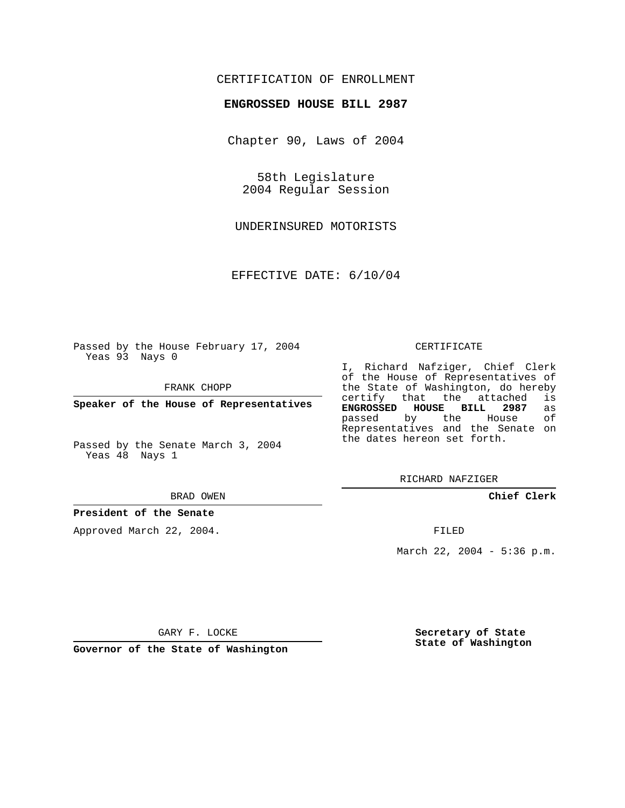## CERTIFICATION OF ENROLLMENT

#### **ENGROSSED HOUSE BILL 2987**

Chapter 90, Laws of 2004

58th Legislature 2004 Regular Session

UNDERINSURED MOTORISTS

EFFECTIVE DATE: 6/10/04

Passed by the House February 17, 2004 Yeas 93 Nays 0

FRANK CHOPP

**Speaker of the House of Representatives**

Passed by the Senate March 3, 2004 Yeas 48 Nays 1

#### BRAD OWEN

### **President of the Senate**

Approved March 22, 2004.

#### CERTIFICATE

I, Richard Nafziger, Chief Clerk of the House of Representatives of the State of Washington, do hereby<br>certify that the attached is certify that the attached **ENGROSSED HOUSE BILL 2987** as passed by the House Representatives and the Senate on the dates hereon set forth.

RICHARD NAFZIGER

**Chief Clerk**

FILED

March 22, 2004 - 5:36 p.m.

GARY F. LOCKE

**Governor of the State of Washington**

**Secretary of State State of Washington**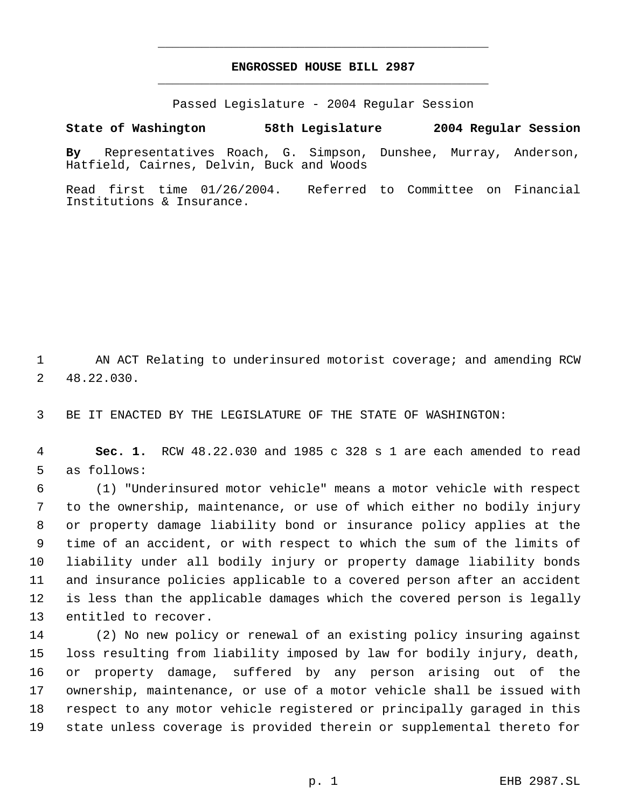# **ENGROSSED HOUSE BILL 2987** \_\_\_\_\_\_\_\_\_\_\_\_\_\_\_\_\_\_\_\_\_\_\_\_\_\_\_\_\_\_\_\_\_\_\_\_\_\_\_\_\_\_\_\_\_

\_\_\_\_\_\_\_\_\_\_\_\_\_\_\_\_\_\_\_\_\_\_\_\_\_\_\_\_\_\_\_\_\_\_\_\_\_\_\_\_\_\_\_\_\_

Passed Legislature - 2004 Regular Session

#### **State of Washington 58th Legislature 2004 Regular Session**

**By** Representatives Roach, G. Simpson, Dunshee, Murray, Anderson, Hatfield, Cairnes, Delvin, Buck and Woods

Read first time 01/26/2004. Referred to Committee on Financial Institutions & Insurance.

 AN ACT Relating to underinsured motorist coverage; and amending RCW 48.22.030.

BE IT ENACTED BY THE LEGISLATURE OF THE STATE OF WASHINGTON:

 **Sec. 1.** RCW 48.22.030 and 1985 c 328 s 1 are each amended to read as follows:

 (1) "Underinsured motor vehicle" means a motor vehicle with respect to the ownership, maintenance, or use of which either no bodily injury or property damage liability bond or insurance policy applies at the time of an accident, or with respect to which the sum of the limits of liability under all bodily injury or property damage liability bonds and insurance policies applicable to a covered person after an accident is less than the applicable damages which the covered person is legally entitled to recover.

 (2) No new policy or renewal of an existing policy insuring against loss resulting from liability imposed by law for bodily injury, death, or property damage, suffered by any person arising out of the ownership, maintenance, or use of a motor vehicle shall be issued with respect to any motor vehicle registered or principally garaged in this state unless coverage is provided therein or supplemental thereto for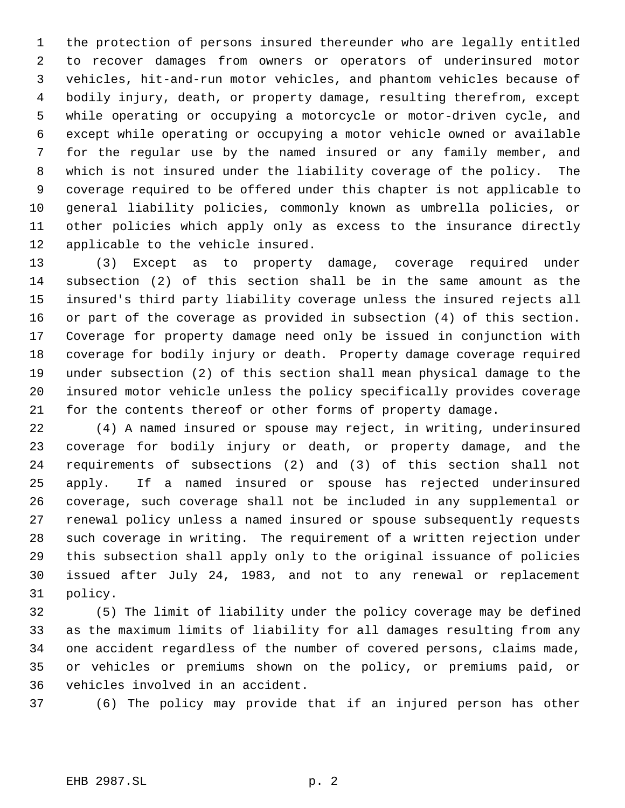the protection of persons insured thereunder who are legally entitled to recover damages from owners or operators of underinsured motor vehicles, hit-and-run motor vehicles, and phantom vehicles because of bodily injury, death, or property damage, resulting therefrom, except while operating or occupying a motorcycle or motor-driven cycle, and except while operating or occupying a motor vehicle owned or available for the regular use by the named insured or any family member, and which is not insured under the liability coverage of the policy. The coverage required to be offered under this chapter is not applicable to general liability policies, commonly known as umbrella policies, or other policies which apply only as excess to the insurance directly applicable to the vehicle insured.

 (3) Except as to property damage, coverage required under subsection (2) of this section shall be in the same amount as the insured's third party liability coverage unless the insured rejects all or part of the coverage as provided in subsection (4) of this section. Coverage for property damage need only be issued in conjunction with coverage for bodily injury or death. Property damage coverage required under subsection (2) of this section shall mean physical damage to the insured motor vehicle unless the policy specifically provides coverage for the contents thereof or other forms of property damage.

 (4) A named insured or spouse may reject, in writing, underinsured coverage for bodily injury or death, or property damage, and the requirements of subsections (2) and (3) of this section shall not apply. If a named insured or spouse has rejected underinsured coverage, such coverage shall not be included in any supplemental or renewal policy unless a named insured or spouse subsequently requests such coverage in writing. The requirement of a written rejection under this subsection shall apply only to the original issuance of policies issued after July 24, 1983, and not to any renewal or replacement policy.

 (5) The limit of liability under the policy coverage may be defined as the maximum limits of liability for all damages resulting from any one accident regardless of the number of covered persons, claims made, or vehicles or premiums shown on the policy, or premiums paid, or vehicles involved in an accident.

(6) The policy may provide that if an injured person has other